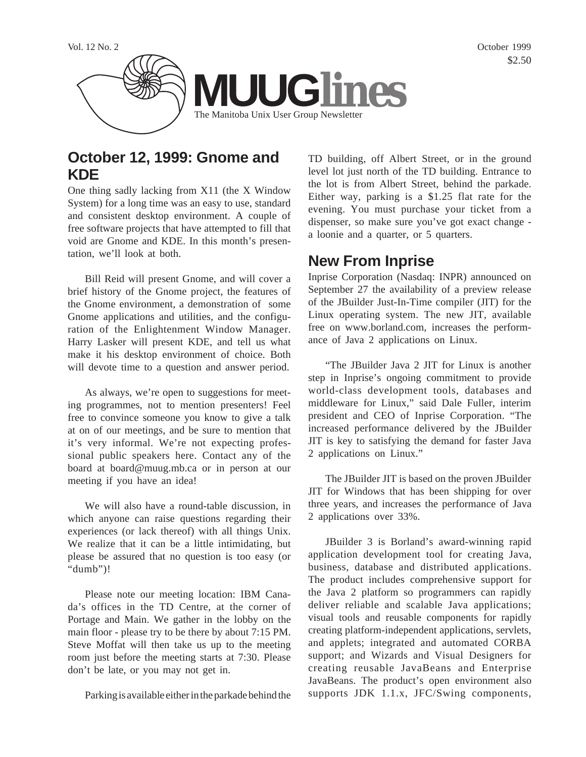

## **October 12, 1999: Gnome and KDE**

One thing sadly lacking from X11 (the X Window System) for a long time was an easy to use, standard and consistent desktop environment. A couple of free software projects that have attempted to fill that void are Gnome and KDE. In this month's presentation, we'll look at both.

Bill Reid will present Gnome, and will cover a brief history of the Gnome project, the features of the Gnome environment, a demonstration of some Gnome applications and utilities, and the configuration of the Enlightenment Window Manager. Harry Lasker will present KDE, and tell us what make it his desktop environment of choice. Both will devote time to a question and answer period.

As always, we're open to suggestions for meeting programmes, not to mention presenters! Feel free to convince someone you know to give a talk at on of our meetings, and be sure to mention that it's very informal. We're not expecting professional public speakers here. Contact any of the board at board@muug.mb.ca or in person at our meeting if you have an idea!

We will also have a round-table discussion, in which anyone can raise questions regarding their experiences (or lack thereof) with all things Unix. We realize that it can be a little intimidating, but please be assured that no question is too easy (or "dumb")!

Please note our meeting location: IBM Canada's offices in the TD Centre, at the corner of Portage and Main. We gather in the lobby on the main floor - please try to be there by about 7:15 PM. Steve Moffat will then take us up to the meeting room just before the meeting starts at 7:30. Please don't be late, or you may not get in.

Parking is available either in the parkade behind the

TD building, off Albert Street, or in the ground level lot just north of the TD building. Entrance to the lot is from Albert Street, behind the parkade. Either way, parking is a \$1.25 flat rate for the evening. You must purchase your ticket from a dispenser, so make sure you've got exact change a loonie and a quarter, or 5 quarters.

## **New From Inprise**

Inprise Corporation (Nasdaq: INPR) announced on September 27 the availability of a preview release of the JBuilder Just-In-Time compiler (JIT) for the Linux operating system. The new JIT, available free on www.borland.com, increases the performance of Java 2 applications on Linux.

"The JBuilder Java 2 JIT for Linux is another step in Inprise's ongoing commitment to provide world-class development tools, databases and middleware for Linux," said Dale Fuller, interim president and CEO of Inprise Corporation. "The increased performance delivered by the JBuilder JIT is key to satisfying the demand for faster Java 2 applications on Linux."

The JBuilder JIT is based on the proven JBuilder JIT for Windows that has been shipping for over three years, and increases the performance of Java 2 applications over 33%.

JBuilder 3 is Borland's award-winning rapid application development tool for creating Java, business, database and distributed applications. The product includes comprehensive support for the Java 2 platform so programmers can rapidly deliver reliable and scalable Java applications; visual tools and reusable components for rapidly creating platform-independent applications, servlets, and applets; integrated and automated CORBA support; and Wizards and Visual Designers for creating reusable JavaBeans and Enterprise JavaBeans. The product's open environment also supports JDK 1.1.x, JFC/Swing components,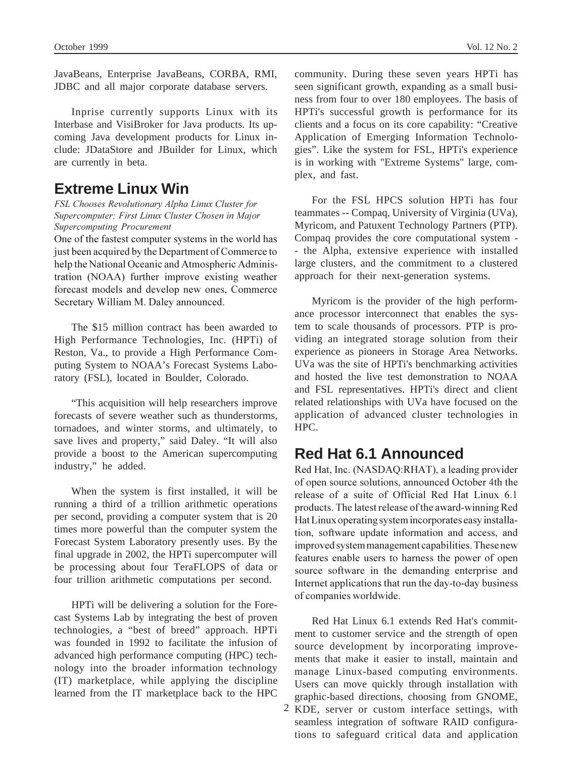JavaBeans, Enterprise JavaBeans, CORBA, RMI, JDBC and all major corporate database servers.

Inprise currently supports Linux with its Interbase and VisiBroker for Java products. Its upcoming Java development products for Linux include: JDataStore and JBuilder for Linux, which are currently in beta.

### **Extreme Linux Win**

*FSL Chooses Revolutionary Alpha Linux Cluster for Supercomputer; First Linux Cluster Chosen in Major Supercomputing Procurement*

One of the fastest computer systems in the world has just been acquired by the Department of Commerce to help the National Oceanic and Atmospheric Administration (NOAA) further improve existing weather forecast models and develop new ones, Commerce Secretary William M. Daley announced.

The \$15 million contract has been awarded to High Performance Technologies, Inc. (HPTi) of Reston, Va., to provide a High Performance Computing System to NOAA's Forecast Systems Laboratory (FSL), located in Boulder, Colorado.

"This acquisition will help researchers improve forecasts of severe weather such as thunderstorms, tornadoes, and winter storms, and ultimately, to save lives and property," said Daley. "It will also provide a boost to the American supercomputing industry," he added.

When the system is first installed, it will be running a third of a trillion arithmetic operations per second, providing a computer system that is 20 times more powerful than the computer system the Forecast System Laboratory presently uses. By the final upgrade in 2002, the HPTi supercomputer will be processing about four TeraFLOPS of data or four trillion arithmetic computations per second.

HPTi will be delivering a solution for the Forecast Systems Lab by integrating the best of proven technologies, a "best of breed" approach. HPTi was founded in 1992 to facilitate the infusion of advanced high performance computing (HPC) technology into the broader information technology (IT) marketplace, while applying the discipline learned from the IT marketplace back to the HPC

community. During these seven years HPTi has seen significant growth, expanding as a small business from four to over 180 employees. The basis of HPTi's successful growth is performance for its clients and a focus on its core capability: "Creative Application of Emerging Information Technologies". Like the system for FSL, HPTi's experience is in working with "Extreme Systems" large, complex, and fast.

For the FSL HPCS solution HPTi has four teammates -- Compaq, University of Virginia (UVa), Myricom, and Patuxent Technology Partners (PTP). Compaq provides the core computational system - - the Alpha, extensive experience with installed large clusters, and the commitment to a clustered approach for their next-generation systems.

Myricom is the provider of the high performance processor interconnect that enables the system to scale thousands of processors. PTP is providing an integrated storage solution from their experience as pioneers in Storage Area Networks. UVa was the site of HPTi's benchmarking activities and hosted the live test demonstration to NOAA and FSL representatives. HPTi's direct and client related relationships with UVa have focused on the application of advanced cluster technologies in HPC.

## **Red Hat 6.1 Announced**

Red Hat, Inc. (NASDAQ:RHAT), a leading provider of open source solutions, announced October 4th the release of a suite of Official Red Hat Linux 6.1 products. The latest release of the award-winning Red Hat Linux operating system incorporates easy installation, software update information and access, and improved system management capabilities. These new features enable users to harness the power of open source software in the demanding enterprise and Internet applications that run the day-to-day business of companies worldwide.

2 KDE, server or custom interface settings, with Red Hat Linux 6.1 extends Red Hat's commitment to customer service and the strength of open source development by incorporating improvements that make it easier to install, maintain and manage Linux-based computing environments. Users can move quickly through installation with graphic-based directions, choosing from GNOME, seamless integration of software RAID configurations to safeguard critical data and application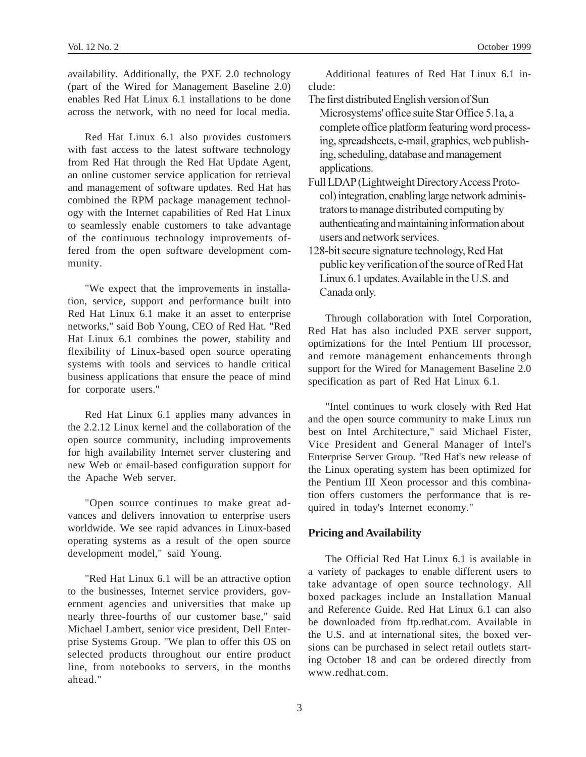availability. Additionally, the PXE 2.0 technology (part of the Wired for Management Baseline 2.0) enables Red Hat Linux 6.1 installations to be done across the network, with no need for local media.

Red Hat Linux 6.1 also provides customers with fast access to the latest software technology from Red Hat through the Red Hat Update Agent, an online customer service application for retrieval and management of software updates. Red Hat has combined the RPM package management technology with the Internet capabilities of Red Hat Linux to seamlessly enable customers to take advantage of the continuous technology improvements offered from the open software development community.

"We expect that the improvements in installation, service, support and performance built into Red Hat Linux 6.1 make it an asset to enterprise networks," said Bob Young, CEO of Red Hat. "Red Hat Linux 6.1 combines the power, stability and flexibility of Linux-based open source operating systems with tools and services to handle critical business applications that ensure the peace of mind for corporate users."

Red Hat Linux 6.1 applies many advances in the 2.2.12 Linux kernel and the collaboration of the open source community, including improvements for high availability Internet server clustering and new Web or email-based configuration support for the Apache Web server.

"Open source continues to make great advances and delivers innovation to enterprise users worldwide. We see rapid advances in Linux-based operating systems as a result of the open source development model," said Young.

"Red Hat Linux 6.1 will be an attractive option to the businesses, Internet service providers, government agencies and universities that make up nearly three-fourths of our customer base," said Michael Lambert, senior vice president, Dell Enterprise Systems Group. "We plan to offer this OS on selected products throughout our entire product line, from notebooks to servers, in the months ahead."

Additional features of Red Hat Linux 6.1 include:

- The first distributed English version of Sun Microsystems' office suite Star Office 5.1a, a complete office platform featuring word processing, spreadsheets, e-mail, graphics, web publishing, scheduling, database and management applications.
- Full LDAP (Lightweight Directory Access Protocol) integration, enabling large network administrators to manage distributed computing by authenticating and maintaining information about users and network services.
- 128-bit secure signature technology, Red Hat public key verification of the source of Red Hat Linux 6.1 updates. Available in the U.S. and Canada only.

Through collaboration with Intel Corporation, Red Hat has also included PXE server support, optimizations for the Intel Pentium III processor, and remote management enhancements through support for the Wired for Management Baseline 2.0 specification as part of Red Hat Linux 6.1.

"Intel continues to work closely with Red Hat and the open source community to make Linux run best on Intel Architecture," said Michael Fister, Vice President and General Manager of Intel's Enterprise Server Group. "Red Hat's new release of the Linux operating system has been optimized for the Pentium III Xeon processor and this combination offers customers the performance that is required in today's Internet economy."

#### **Pricing and Availability**

The Official Red Hat Linux 6.1 is available in a variety of packages to enable different users to take advantage of open source technology. All boxed packages include an Installation Manual and Reference Guide. Red Hat Linux 6.1 can also be downloaded from ftp.redhat.com. Available in the U.S. and at international sites, the boxed versions can be purchased in select retail outlets starting October 18 and can be ordered directly from www.redhat.com.